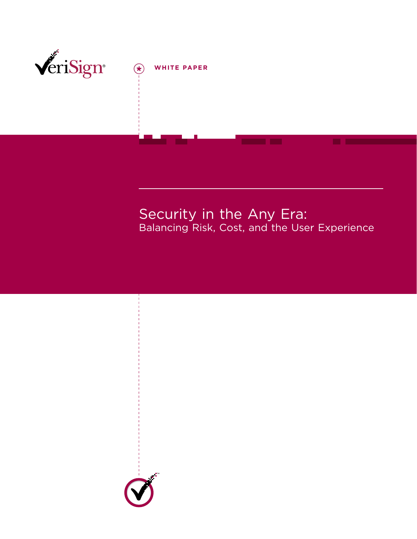

# $\left(\begin{matrix} \bigstar \end{matrix}\right)$  WHITE PAPER

Security in the Any Era: Balancing Risk, Cost, and the User Experience

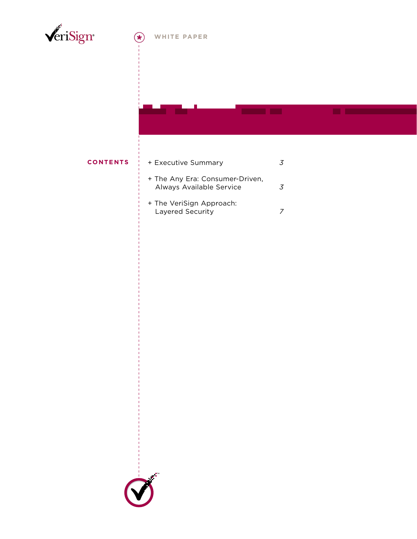

#### WHITE PAPER  $\left( \ast \right)$

#### **CONTENTS**

### + Executive Summary

 $\overline{3}$ 

 $\mathcal{Z}$ 

- + The Any Era: Consumer-Driven, Always Available Service
- + The VeriSign Approach: Layered Security  $\overline{z}$

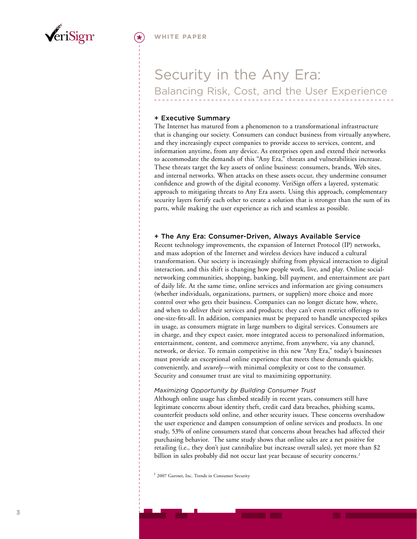<span id="page-2-0"></span>

# Security in the Any Era: Balancing Risk, Cost, and the User Experience

#### + Executive Summary

The Internet has matured from a phenomenon to a transformational infrastructure that is changing our society. Consumers can conduct business from virtually anywhere, and they increasingly expect companies to provide access to services, content, and information anytime, from any device. As enterprises open and extend their networks to accommodate the demands of this "Any Era," threats and vulnerabilities increase. These threats target the key assets of online business: consumers, brands, Web sites, and internal networks. When attacks on these assets occur, they undermine consumer confidence and growth of the digital economy. VeriSign offers a layered, systematic approach to mitigating threats to Any Era assets. Using this approach, complementary security layers fortify each other to create a solution that is stronger than the sum of its parts, while making the user experience as rich and seamless as possible.

#### + The Any Era: Consumer-Driven, Always Available Service

Recent technology improvements, the expansion of Internet Protocol (IP) networks, and mass adoption of the Internet and wireless devices have induced a cultural transformation. Our society is increasingly shifting from physical interaction to digital interaction, and this shift is changing how people work, live, and play. Online socialnetworking communities, shopping, banking, bill payment, and entertainment are part of daily life. At the same time, online services and information are giving consumers (whether individuals, organizations, partners, or suppliers) more choice and more control over who gets their business. Companies can no longer dictate how, where, and when to deliver their services and products; they can't even restrict offerings to one-size-fits-all. In addition, companies must be prepared to handle unexpected spikes in usage, as consumers migrate in large numbers to digital services. Consumers are in charge, and they expect easier, more integrated access to personalized information, entertainment, content, and commerce anytime, from anywhere, via any channel, network, or device. To remain competitive in this new "Any Era," today's businesses must provide an exceptional online experience that meets these demands quickly, conveniently, and *securely*—with minimal complexity or cost to the consumer. Security and consumer trust are vital to maximizing opportunity.

#### *Maximizing Opportunity by Building Consumer Trust*

Although online usage has climbed steadily in recent years, consumers still have legitimate concerns about identity theft, credit card data breaches, phishing scams, counterfeit products sold online, and other security issues. These concerns overshadow the user experience and dampen consumption of online services and products. In one study, 53% of online consumers stated that concerns about breaches had affected their purchasing behavior. The same study shows that online sales are a net positive for retailing (i.e., they don't just cannibalize but increase overall sales), yet more than \$2 billion in sales probably did not occur last year because of security concerns. *1*

<sup>1</sup> 2007 Gartner, Inc. Trends in Consumer Security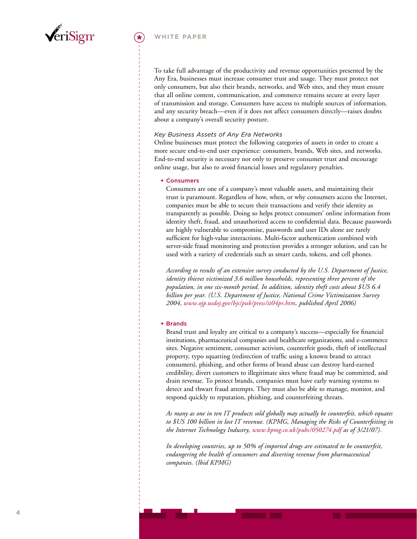

#### **white paper**

To take full advantage of the productivity and revenue opportunities presented by the Any Era, businesses must increase consumer trust and usage. They must protect not only consumers, but also their brands, networks, and Web sites, and they must ensure that all online content, communication, and commerce remains secure at every layer of transmission and storage. Consumers have access to multiple sources of information, and any security breach—even if it does not affect consumers directly—raises doubts about a company's overall security posture.

#### *Key Business Assets of Any Era Networks*

Online businesses must protect the following categories of assets in order to create a more secure end-to-end user experience: consumers, brands, Web sites, and networks. End-to-end security is necessary not only to preserve consumer trust and encourage online usage, but also to avoid financial losses and regulatory penalties.

#### + Consumers

Consumers are one of a company's most valuable assets, and maintaining their trust is paramount. Regardless of how, when, or why consumers access the Internet, companies must be able to secure their transactions and verify their identity as transparently as possible. Doing so helps protect consumers' online information from identity theft, fraud, and unauthorized access to confidential data. Because passwords are highly vulnerable to compromise, passwords and user IDs alone are rarely sufficient for high-value interactions. Multi-factor authentication combined with server-side fraud monitoring and protection provides a stronger solution, and can be used with a variety of credentials such as smart cards, tokens, and cell phones.

*According to results of an extensive survey conducted by the U.S. Department of Justice, identity thieves victimized 3.6 million households, representing three percent of the population, in one six-month period. In addition, identity theft costs about \$US 6.4 billion per year. (U.S. Department of Justice, National Crime Victimization Survey 2004, [www.ojp.usdoj.gov/bjs/pub/press/it04pr.htm,](www.ojp.usdoj.gov/bjs/pub/press/it04pr.htm) published April 2006)*

#### + Brands

Brand trust and loyalty are critical to a company's success—especially for financial institutions, pharmaceutical companies and healthcare organizations, and e-commerce sites. Negative sentiment, consumer activism, counterfeit goods, theft of intellectual property, typo squatting (redirection of traffic using a known brand to attract consumers), phishing, and other forms of brand abuse can destroy hard-earned credibility, divert customers to illegitimate sites where fraud may be committed, and drain revenue. To protect brands, companies must have early warning systems to detect and thwart fraud attempts. They must also be able to manage, monitor, and respond quickly to reputation, phishing, and counterfeiting threats.

*As many as one in ten IT products sold globally may actually be counterfeit, which equates to \$US 100 billion in lost IT revenue. (KPMG, Managing the Risks of Counterfeiting in the Internet Technology Industry, <www.kpmg.co.uk/pubs/050274.pdf>as of 3/21/07).* 

*In developing countries, up to 50% of imported drugs are estimated to be counterfeit, endangering the health of consumers and diverting revenue from pharmaceutical companies. (Ibid KPMG)*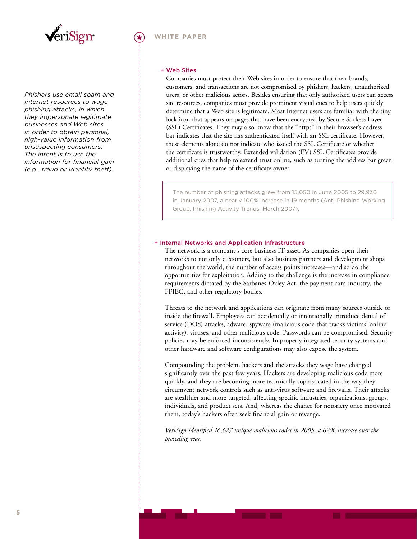

*Phishers use email spam and Internet resources to wage phishing attacks, in which they impersonate legitimate businesses and Web sites in order to obtain personal, high-value information from unsuspecting consumers. The intent is to use the information for financial gain (e.g., fraud or identity theft).* 

#### + Web Sites

Companies must protect their Web sites in order to ensure that their brands, customers, and transactions are not compromised by phishers, hackers, unauthorized users, or other malicious actors. Besides ensuring that only authorized users can access site resources, companies must provide prominent visual cues to help users quickly determine that a Web site is legitimate. Most Internet users are familiar with the tiny lock icon that appears on pages that have been encrypted by Secure Sockets Layer (SSL) Certificates. They may also know that the "https" in their browser's address bar indicates that the site has authenticated itself with an SSL certificate. However, these elements alone do not indicate who issued the SSL Certificate or whether the certificate is trustworthy. Extended validation (EV) SSL Certificates provide additional cues that help to extend trust online, such as turning the address bar green or displaying the name of the certificate owner.

The number of phishing attacks grew from 15,050 in June 2005 to 29,930 in January 2007, a nearly 100% increase in 19 months (Anti-Phishing Working Group, Phishing Activity Trends, March 2007).

#### + Internal Networks and Application Infrastructure

The network is a company's core business IT asset. As companies open their networks to not only customers, but also business partners and development shops throughout the world, the number of access points increases—and so do the opportunities for exploitation. Adding to the challenge is the increase in compliance requirements dictated by the Sarbanes-Oxley Act, the payment card industry, the FFIEC, and other regulatory bodies.

Threats to the network and applications can originate from many sources outside or inside the firewall. Employees can accidentally or intentionally introduce denial of service (DOS) attacks, adware, spyware (malicious code that tracks victims' online activity), viruses, and other malicious code. Passwords can be compromised. Security policies may be enforced inconsistently. Improperly integrated security systems and other hardware and software configurations may also expose the system.

Compounding the problem, hackers and the attacks they wage have changed significantly over the past few years. Hackers are developing malicious code more quickly, and they are becoming more technically sophisticated in the way they circumvent network controls such as anti-virus software and firewalls. Their attacks are stealthier and more targeted, affecting specific industries, organizations, groups, individuals, and product sets. And, whereas the chance for notoriety once motivated them, today's hackers often seek financial gain or revenge.

*VeriSign identified 16,627 unique malicious codes in 2005, a 62% increase over the preceding year.*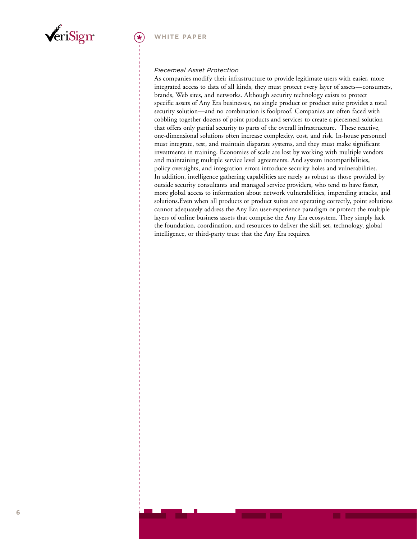

#### *Piecemeal Asset Protection*

As companies modify their infrastructure to provide legitimate users with easier, more integrated access to data of all kinds, they must protect every layer of assets—consumers, brands, Web sites, and networks. Although security technology exists to protect specific assets of Any Era businesses, no single product or product suite provides a total security solution—and no combination is foolproof. Companies are often faced with cobbling together dozens of point products and services to create a piecemeal solution that offers only partial security to parts of the overall infrastructure. These reactive, one-dimensional solutions often increase complexity, cost, and risk. In-house personnel must integrate, test, and maintain disparate systems, and they must make significant investments in training. Economies of scale are lost by working with multiple vendors and maintaining multiple service level agreements. And system incompatibilities, policy oversights, and integration errors introduce security holes and vulnerabilities. In addition, intelligence gathering capabilities are rarely as robust as those provided by outside security consultants and managed service providers, who tend to have faster, more global access to information about network vulnerabilities, impending attacks, and solutions.Even when all products or product suites are operating correctly, point solutions cannot adequately address the Any Era user-experience paradigm or protect the multiple layers of online business assets that comprise the Any Era ecosystem. They simply lack the foundation, coordination, and resources to deliver the skill set, technology, global intelligence, or third-party trust that the Any Era requires.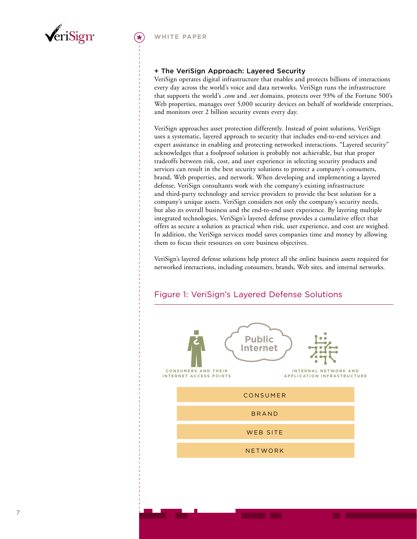<span id="page-6-0"></span>

#### + The VeriSign Approach: Layered Security

VeriSign operates digital infrastructure that enables and protects billions of interactions every day across the world's voice and data networks. VeriSign runs the infrastructure that supports the world's *.com* and *.net* domains, protects over 93% of the Fortune 500's Web properties, manages over 5,000 security devices on behalf of worldwide enterprises, and monitors over 2 billion security events every day.

VeriSign approaches asset protection differently. Instead of point solutions, VeriSign uses a systematic, layered approach to security that includes end-to-end services and expert assistance in enabling and protecting networked interactions. "Layered security" acknowledges that a foolproof solution is probably not achievable, but that proper tradeoffs between risk, cost, and user experience in selecting security products and services can result in the best security solutions to protect a company's consumers, brand, Web properties, and network. When developing and implementing a layered defense, VeriSign consultants work with the company's existing infrastructure and third-party technology and service providers to provide the best solution for a company's unique assets. VeriSign considers not only the company's security needs, but also its overall business and the end-to-end user experience. By layering multiple integrated technologies, VeriSign's layered defense provides a cumulative effect that offers as secure a solution as practical when risk, user experience, and cost are weighed. In addition, the VeriSign services model saves companies time and money by allowing them to focus their resources on core business objectives.

VeriSign's layered defense solutions help protect all the online business assets required for networked interactions, including consumers, brands, Web sites, and internal networks.



## Figure 1: VeriSign's Layered Defense Solutions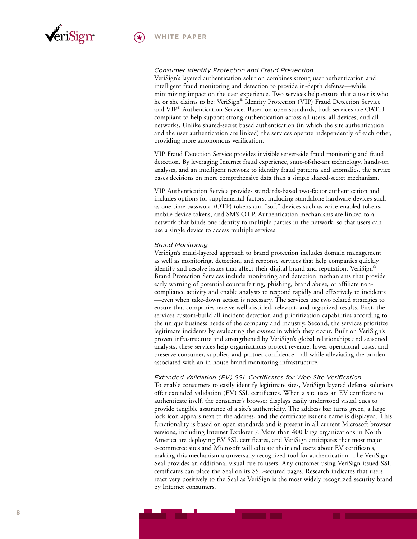

#### *Consumer Identity Protection and Fraud Prevention*

VeriSign's layered authentication solution combines strong user authentication and intelligent fraud monitoring and detection to provide in-depth defense—while minimizing impact on the user experience. Two services help ensure that a user is who he or she claims to be: VeriSign ® Identity Protection (VIP) Fraud Detection Service and VIP ® Authentication Service. Based on open standards, both services are OATHcompliant to help support strong authentication across all users, all devices, and all networks. Unlike shared-secret based authentication (in which the site authentication and the user authentication are linked) the services operate independently of each other, providing more autonomous verification.

VIP Fraud Detection Service provides invisible server-side fraud monitoring and fraud detection. By leveraging Internet fraud experience, state-of-the-art technology, hands-on analysts, and an intelligent network to identify fraud patterns and anomalies, the service bases decisions on more comprehensive data than a simple shared-secret mechanism.

VIP Authentication Service provides standards-based two-factor authentication and includes options for supplemental factors, including standalone hardware devices such as one-time password (OTP) tokens and "soft" devices such as voice-enabled tokens, mobile device tokens, and SMS OTP. Authentication mechanisms are linked to a network that binds one identity to multiple parties in the network, so that users can use a single device to access multiple services.

#### *Brand Monitoring*

VeriSign's multi-layered approach to brand protection includes domain management as well as monitoring, detection, and response services that help companies quickly identify and resolve issues that affect their digital brand and reputation. VeriSign ® Brand Protection Services include monitoring and detection mechanisms that provide early warning of potential counterfeiting, phishing, brand abuse, or affiliate noncompliance activity and enable analysts to respond rapidly and effectively to incidents —even when take-down action is necessary. The services use two related strategies to ensure that companies receive well-distilled, relevant, and organized results. First, the services custom-build all incident detection and prioritization capabilities according to the unique business needs of the company and industry. Second, the services prioritize legitimate incidents by evaluating the *context* in which they occur. Built on VeriSign's proven infrastructure and strengthened by VeriSign's global relationships and seasoned analysts, these services help organizations protect revenue, lower operational costs, and preserve consumer, supplier, and partner confidence—all while alleviating the burden associated with an in-house brand monitoring infrastructure.

#### *Extended Validation (EV) SSL Certificates for Web Site Verification*

To enable consumers to easily identify legitimate sites, VeriSign layered defense solutions offer extended validation (EV) SSL certificates. When a site uses an EV certificate to authenticate itself, the consumer's browser displays easily understood visual cues to provide tangible assurance of a site's authenticity. The address bar turns green, a large lock icon appears next to the address, and the certificate issuer's name is displayed. This functionality is based on open standards and is present in all current Microsoft browser versions, including Internet Explorer 7. More than 400 large organizations in North America are deploying EV SSL certificates, and VeriSign anticipates that most major e-commerce sites and Microsoft will educate their end users about EV certificates, making this mechanism a universally recognized tool for authentication. The VeriSign Seal provides an additional visual cue to users. Any customer using VeriSign-issued SSL certificates can place the Seal on its SSL-secured pages. Research indicates that users react very positively to the Seal as VeriSign is the most widely recognized security brand by Internet consumers.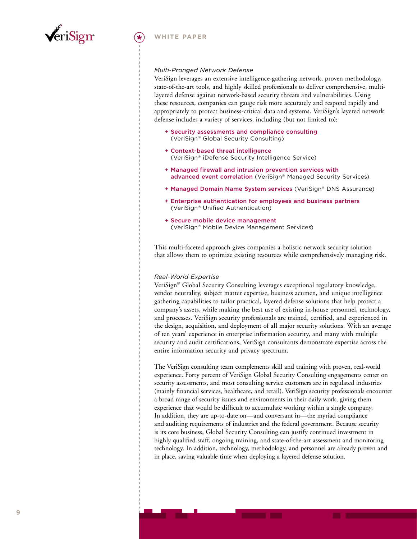

#### *Multi-Pronged Network Defense*

VeriSign leverages an extensive intelligence-gathering network, proven methodology, state-of-the-art tools, and highly skilled professionals to deliver comprehensive, multilayered defense against network-based security threats and vulnerabilities. Using these resources, companies can gauge risk more accurately and respond rapidly and appropriately to protect business-critical data and systems. VeriSign's layered network defense includes a variety of services, including (but not limited to):

- + Security assessments and compliance consulting (VeriSign® Global Security Consulting)
- + Context-based threat intelligence (VeriSign® iDefense Security Intelligence Service)
- + Managed firewall and intrusion prevention services with advanced event correlation (VeriSign® Managed Security Services)
- + Managed Domain Name System services (VeriSign® DNS Assurance)
- + Enterprise authentication for employees and business partners (VeriSign® Unified Authentication)
- + Secure mobile device management (VeriSign® Mobile Device Management Services)

This multi-faceted approach gives companies a holistic network security solution that allows them to optimize existing resources while comprehensively managing risk.

#### *Real-World Expertise*

VeriSign® Global Security Consulting leverages exceptional regulatory knowledge, vendor neutrality, subject matter expertise, business acumen, and unique intelligence gathering capabilities to tailor practical, layered defense solutions that help protect a company's assets, while making the best use of existing in-house personnel, technology, and processes. VeriSign security professionals are trained, certified, and experienced in the design, acquisition, and deployment of all major security solutions. With an average of ten years' experience in enterprise information security, and many with multiple security and audit certifications, VeriSign consultants demonstrate expertise across the entire information security and privacy spectrum.

The VeriSign consulting team complements skill and training with proven, real-world experience. Forty percent of VeriSign Global Security Consulting engagements center on security assessments, and most consulting service customers are in regulated industries (mainly financial services, healthcare, and retail). VeriSign security professionals encounter a broad range of security issues and environments in their daily work, giving them experience that would be difficult to accumulate working within a single company. In addition, they are up-to-date on—and conversant in—the myriad compliance and auditing requirements of industries and the federal government. Because security is its core business, Global Security Consulting can justify continued investment in highly qualified staff, ongoing training, and state-of-the-art assessment and monitoring technology. In addition, technology, methodology, and personnel are already proven and in place, saving valuable time when deploying a layered defense solution.